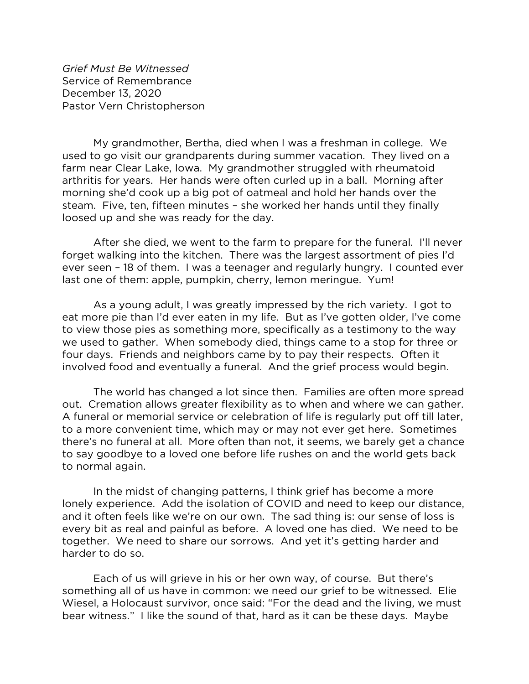*Grief Must Be Witnessed* Service of Remembrance December 13, 2020 Pastor Vern Christopherson

My grandmother, Bertha, died when I was a freshman in college. We used to go visit our grandparents during summer vacation. They lived on a farm near Clear Lake, Iowa. My grandmother struggled with rheumatoid arthritis for years. Her hands were often curled up in a ball. Morning after morning she'd cook up a big pot of oatmeal and hold her hands over the steam. Five, ten, fifteen minutes – she worked her hands until they finally loosed up and she was ready for the day.

After she died, we went to the farm to prepare for the funeral. I'll never forget walking into the kitchen. There was the largest assortment of pies I'd ever seen – 18 of them. I was a teenager and regularly hungry. I counted ever last one of them: apple, pumpkin, cherry, lemon meringue. Yum!

As a young adult, I was greatly impressed by the rich variety. I got to eat more pie than I'd ever eaten in my life. But as I've gotten older, I've come to view those pies as something more, specifically as a testimony to the way we used to gather. When somebody died, things came to a stop for three or four days. Friends and neighbors came by to pay their respects. Often it involved food and eventually a funeral. And the grief process would begin.

The world has changed a lot since then. Families are often more spread out. Cremation allows greater flexibility as to when and where we can gather. A funeral or memorial service or celebration of life is regularly put off till later, to a more convenient time, which may or may not ever get here. Sometimes there's no funeral at all. More often than not, it seems, we barely get a chance to say goodbye to a loved one before life rushes on and the world gets back to normal again.

In the midst of changing patterns, I think grief has become a more lonely experience. Add the isolation of COVID and need to keep our distance, and it often feels like we're on our own. The sad thing is: our sense of loss is every bit as real and painful as before. A loved one has died. We need to be together. We need to share our sorrows. And yet it's getting harder and harder to do so.

Each of us will grieve in his or her own way, of course. But there's something all of us have in common: we need our grief to be witnessed. Elie Wiesel, a Holocaust survivor, once said: "For the dead and the living, we must bear witness." I like the sound of that, hard as it can be these days. Maybe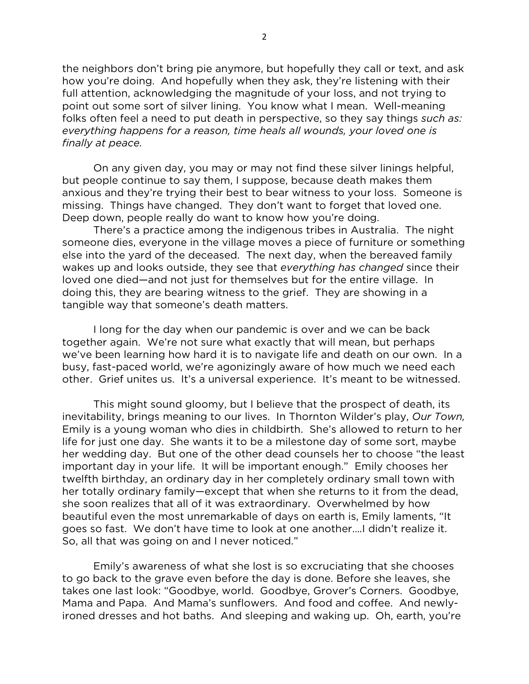the neighbors don't bring pie anymore, but hopefully they call or text, and ask how you're doing. And hopefully when they ask, they're listening with their full attention, acknowledging the magnitude of your loss, and not trying to point out some sort of silver lining. You know what I mean. Well-meaning folks often feel a need to put death in perspective, so they say things *such as: everything happens for a reason, time heals all wounds, your loved one is finally at peace.* 

On any given day, you may or may not find these silver linings helpful, but people continue to say them, I suppose, because death makes them anxious and they're trying their best to bear witness to your loss. Someone is missing. Things have changed. They don't want to forget that loved one. Deep down, people really do want to know how you're doing.

There's a practice among the indigenous tribes in Australia. The night someone dies, everyone in the village moves a piece of furniture or something else into the yard of the deceased. The next day, when the bereaved family wakes up and looks outside, they see that *everything has changed* since their loved one died—and not just for themselves but for the entire village. In doing this, they are bearing witness to the grief. They are showing in a tangible way that someone's death matters.

I long for the day when our pandemic is over and we can be back together again. We're not sure what exactly that will mean, but perhaps we've been learning how hard it is to navigate life and death on our own. In a busy, fast-paced world, we're agonizingly aware of how much we need each other. Grief unites us. It's a universal experience. It's meant to be witnessed.

This might sound gloomy, but I believe that the prospect of death, its inevitability, brings meaning to our lives. In Thornton Wilder's play, *Our Town,*  Emily is a young woman who dies in childbirth. She's allowed to return to her life for just one day. She wants it to be a milestone day of some sort, maybe her wedding day. But one of the other dead counsels her to choose "the least important day in your life. It will be important enough." Emily chooses her twelfth birthday, an ordinary day in her completely ordinary small town with her totally ordinary family—except that when she returns to it from the dead, she soon realizes that all of it was extraordinary. Overwhelmed by how beautiful even the most unremarkable of days on earth is, Emily laments, "It goes so fast. We don't have time to look at one another….I didn't realize it. So, all that was going on and I never noticed."

Emily's awareness of what she lost is so excruciating that she chooses to go back to the grave even before the day is done. Before she leaves, she takes one last look: "Goodbye, world. Goodbye, Grover's Corners. Goodbye, Mama and Papa. And Mama's sunflowers. And food and coffee. And newlyironed dresses and hot baths. And sleeping and waking up. Oh, earth, you're